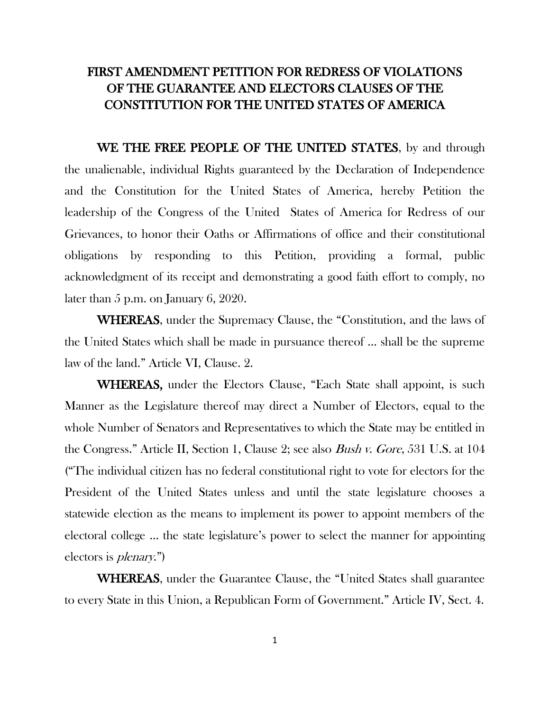# FIRST AMENDMENT PETITION FOR REDRESS OF VIOLATIONS OF THE GUARANTEE AND ELECTORS CLAUSES OF THE CONSTITUTION FOR THE UNITED STATES OF AMERICA

WE THE FREE PEOPLE OF THE UNITED STATES, by and through the unalienable, individual Rights guaranteed by the Declaration of Independence and the Constitution for the United States of America, hereby Petition the leadership of the Congress of the United States of America for Redress of our Grievances, to honor their Oaths or Affirmations of office and their constitutional obligations by responding to this Petition, providing a formal, public acknowledgment of its receipt and demonstrating a good faith effort to comply, no later than 5 p.m. on January 6, 2020.

WHEREAS, under the Supremacy Clause, the "Constitution, and the laws of the United States which shall be made in pursuance thereof … shall be the supreme law of the land." Article VI, Clause. 2.

WHEREAS, under the Electors Clause, "Each State shall appoint, is such Manner as the Legislature thereof may direct a Number of Electors, equal to the whole Number of Senators and Representatives to which the State may be entitled in the Congress." Article II, Section 1, Clause 2; see also Bush v. Gore, 531 U.S. at 104 ("The individual citizen has no federal constitutional right to vote for electors for the President of the United States unless and until the state legislature chooses a statewide election as the means to implement its power to appoint members of the electoral college … the state legislature's power to select the manner for appointing electors is plenary.")

WHEREAS, under the Guarantee Clause, the "United States shall guarantee to every State in this Union, a Republican Form of Government." Article IV, Sect. 4.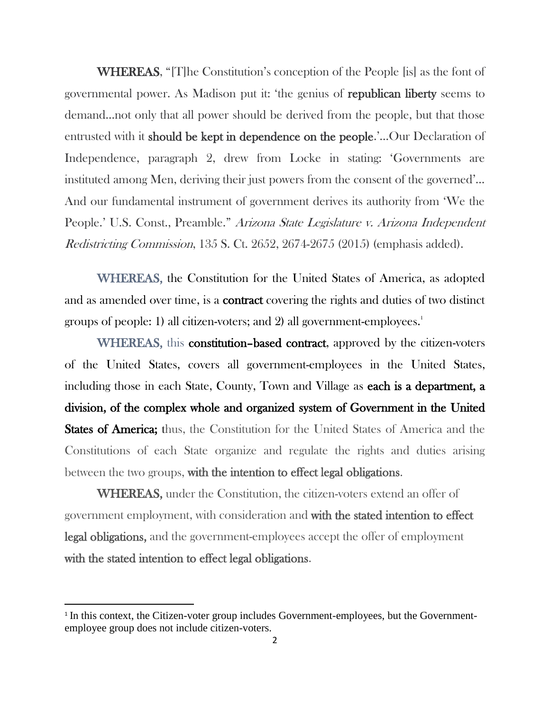WHEREAS, "[T]he Constitution's conception of the People [is] as the font of governmental power. As Madison put it: 'the genius of republican liberty seems to demand…not only that all power should be derived from the people, but that those entrusted with it should be kept in dependence on the people.'…Our Declaration of Independence, paragraph 2, drew from Locke in stating: 'Governments are instituted among Men, deriving their just powers from the consent of the governed'… And our fundamental instrument of government derives its authority from 'We the People.' U.S. Const., Preamble." Arizona State Legislature v. Arizona Independent Redistricting Commission, 135 S. Ct. 2652, 2674-2675 (2015) (emphasis added).

WHEREAS, the Constitution for the United States of America, as adopted and as amended over time, is a **contract** covering the rights and duties of two distinct groups of people: 1) all citizen-voters; and 2) all government-employees.<sup>1</sup>

WHEREAS, this constitution–based contract, approved by the citizen-voters of the United States, covers all government-employees in the United States, including those in each State, County, Town and Village as each is a department, a division, of the complex whole and organized system of Government in the United **States of America;** thus, the Constitution for the United States of America and the Constitutions of each State organize and regulate the rights and duties arising between the two groups, with the intention to effect legal obligations.

WHEREAS, under the Constitution, the citizen-voters extend an offer of government employment, with consideration and with the stated intention to effect legal obligations, and the government-employees accept the offer of employment with the stated intention to effect legal obligations.

<sup>&</sup>lt;sup>1</sup> In this context, the Citizen-voter group includes Government-employees, but the Governmentemployee group does not include citizen-voters.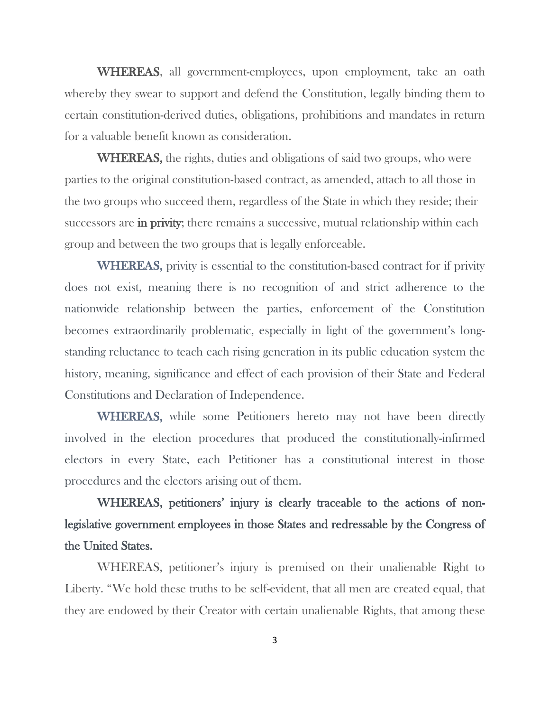WHEREAS, all government-employees, upon employment, take an oath whereby they swear to support and defend the Constitution, legally binding them to certain constitution-derived duties, obligations, prohibitions and mandates in return for a valuable benefit known as consideration.

WHEREAS, the rights, duties and obligations of said two groups, who were parties to the original constitution-based contract, as amended, attach to all those in the two groups who succeed them, regardless of the State in which they reside; their successors are in privity; there remains a successive, mutual relationship within each group and between the two groups that is legally enforceable.

WHEREAS, privity is essential to the constitution-based contract for if privity does not exist, meaning there is no recognition of and strict adherence to the nationwide relationship between the parties, enforcement of the Constitution becomes extraordinarily problematic, especially in light of the government's longstanding reluctance to teach each rising generation in its public education system the history, meaning, significance and effect of each provision of their State and Federal Constitutions and Declaration of Independence.

WHEREAS, while some Petitioners hereto may not have been directly involved in the election procedures that produced the constitutionally-infirmed electors in every State, each Petitioner has a constitutional interest in those procedures and the electors arising out of them.

# WHEREAS, petitioners' injury is clearly traceable to the actions of nonlegislative government employees in those States and redressable by the Congress of the United States.

WHEREAS, petitioner's injury is premised on their unalienable Right to Liberty. "We hold these truths to be self-evident, that all men are created equal, that they are endowed by their Creator with certain unalienable Rights, that among these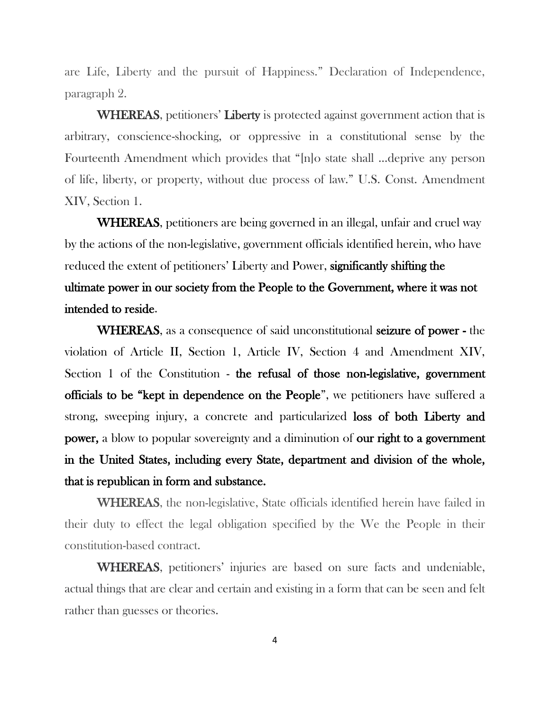are Life, Liberty and the pursuit of Happiness." Declaration of Independence, paragraph 2.

WHEREAS, petitioners' Liberty is protected against government action that is arbitrary, conscience-shocking, or oppressive in a constitutional sense by the Fourteenth Amendment which provides that "[n]o state shall …deprive any person of life, liberty, or property, without due process of law." U.S. Const. Amendment XIV, Section 1.

WHEREAS, petitioners are being governed in an illegal, unfair and cruel way by the actions of the non-legislative, government officials identified herein, who have reduced the extent of petitioners' Liberty and Power, significantly shifting the ultimate power in our society from the People to the Government, where it was not intended to reside.

WHEREAS, as a consequence of said unconstitutional seizure of power - the violation of Article II, Section 1, Article IV, Section 4 and Amendment XIV, Section 1 of the Constitution - the refusal of those non-legislative, government officials to be "kept in dependence on the People", we petitioners have suffered a strong, sweeping injury, a concrete and particularized loss of both Liberty and power, a blow to popular sovereignty and a diminution of our right to a government in the United States, including every State, department and division of the whole, that is republican in form and substance.

WHEREAS, the non-legislative, State officials identified herein have failed in their duty to effect the legal obligation specified by the We the People in their constitution-based contract.

WHEREAS, petitioners' injuries are based on sure facts and undeniable, actual things that are clear and certain and existing in a form that can be seen and felt rather than guesses or theories.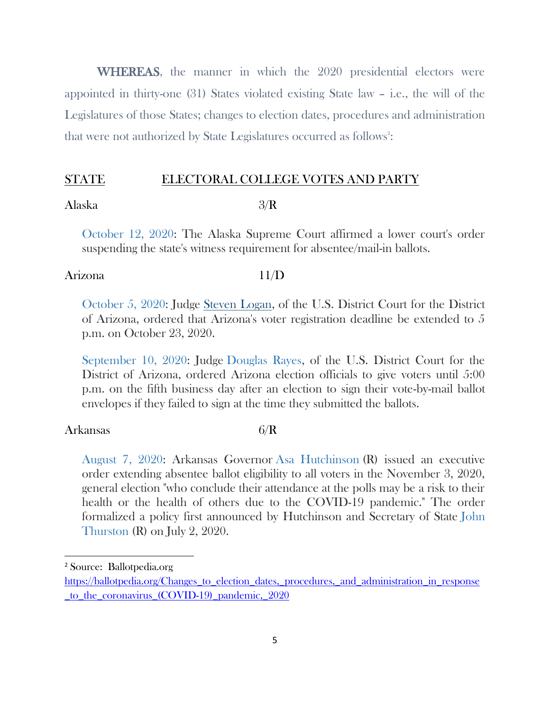WHEREAS, the manner in which the 2020 presidential electors were appointed in thirty-one (31) States violated existing State law – i.e., the will of the Legislatures of those States; changes to election dates, procedures and administration that were not authorized by State Legislatures occurred as follows<sup>2</sup>:

# STATE ELECTORAL COLLEGE VOTES AND PARTY

### Alaska 3/R

[October 12, 2020:](https://ballotpedia.org/Changes_to_election_dates,_procedures,_and_administration_in_response_to_the_coronavirus_(COVID-19)_pandemic,_2020#Alaska) The Alaska Supreme Court affirmed a lower court's order suspending the state's witness requirement for absentee/mail-in ballots.

# Arizona 11/D

[October 5, 2020:](https://ballotpedia.org/Changes_to_election_dates,_procedures,_and_administration_in_response_to_the_coronavirus_(COVID-19)_pandemic,_2020#Arizona) Judge [Steven Logan,](https://ballotpedia.org/Steven_Logan) of the U.S. District Court for the District of Arizona, ordered that Arizona's voter registration deadline be extended to 5 p.m. on October 23, 2020.

[September 10, 2020:](https://ballotpedia.org/Changes_to_election_dates,_procedures,_and_administration_in_response_to_the_coronavirus_(COVID-19)_pandemic,_2020#Arizona) Judge [Douglas Rayes,](https://ballotpedia.org/Douglas_Rayes) of the U.S. District Court for the District of Arizona, ordered Arizona election officials to give voters until 5:00 p.m. on the fifth business day after an election to sign their vote-by-mail ballot envelopes if they failed to sign at the time they submitted the ballots.

### Arkansas 6/R

 $\overline{a}$ 

[August 7, 2020:](https://ballotpedia.org/Changes_to_election_dates,_procedures,_and_administration_in_response_to_the_coronavirus_(COVID-19)_pandemic,_2020#Arkansas) Arkansas Governor [Asa Hutchinson](https://ballotpedia.org/Asa_Hutchinson) (R) issued an executive order extending absentee ballot eligibility to all voters in the November 3, 2020, general election "who conclude their attendance at the polls may be a risk to their health or the health of others due to the COVID-19 pandemic." The order formalized a policy first announced by Hutchinson and Secretary of State [John](https://ballotpedia.org/John_Thurston)  [Thurston](https://ballotpedia.org/John_Thurston) (R) on July 2, 2020.

<sup>2</sup> Source: Ballotpedia.org

[https://ballotpedia.org/Changes\\_to\\_election\\_dates,\\_procedures,\\_and\\_administration\\_in\\_response](https://ballotpedia.org/Changes_to_election_dates,_procedures,_and_administration_in_response_to_the_coronavirus_(COVID-19)_pandemic,_2020) [\\_to\\_the\\_coronavirus\\_\(COVID-19\)\\_pandemic,\\_2020](https://ballotpedia.org/Changes_to_election_dates,_procedures,_and_administration_in_response_to_the_coronavirus_(COVID-19)_pandemic,_2020)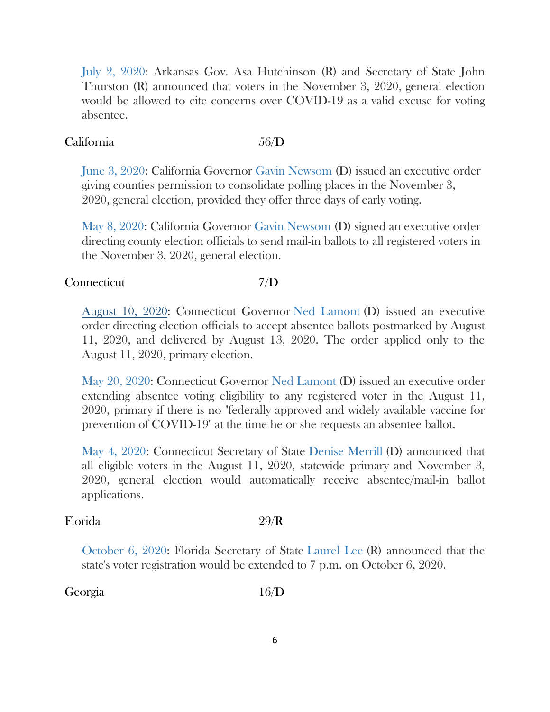[July 2, 2020:](https://ballotpedia.org/Changes_to_election_dates,_procedures,_and_administration_in_response_to_the_coronavirus_(COVID-19)_pandemic,_2020#Arkansas) Arkansas Gov. Asa Hutchinson (R) and Secretary of State John Thurston (R) announced that voters in the November 3, 2020, general election would be allowed to cite concerns over COVID-19 as a valid excuse for voting absentee.

# California 56/D

[June 3, 2020:](https://ballotpedia.org/Changes_to_election_dates,_procedures,_and_administration_in_response_to_the_coronavirus_(COVID-19)_pandemic,_2020#California) California Governor [Gavin Newsom](https://ballotpedia.org/Gavin_Newsom) (D) issued an executive order giving counties permission to consolidate polling places in the November 3, 2020, general election, provided they offer three days of early voting.

[May 8, 2020:](https://ballotpedia.org/Changes_to_election_dates,_procedures,_and_administration_in_response_to_the_coronavirus_(COVID-19)_pandemic,_2020#California) California Governor [Gavin Newsom](https://ballotpedia.org/Gavin_Newsom) (D) signed an executive order directing county election officials to send mail-in ballots to all registered voters in the November 3, 2020, general election.

# Connecticut 7/D

[August 10, 2020:](https://ballotpedia.org/Changes_to_election_dates,_procedures,_and_administration_in_response_to_the_coronavirus_(COVID-19)_pandemic,_2020#Connecticut) Connecticut Governor [Ned Lamont](https://ballotpedia.org/Ned_Lamont) (D) issued an executive order directing election officials to accept absentee ballots postmarked by August 11, 2020, and delivered by August 13, 2020. The order applied only to the August 11, 2020, primary election.

[May 20, 2020:](https://ballotpedia.org/Changes_to_election_dates,_procedures,_and_administration_in_response_to_the_coronavirus_(COVID-19)_pandemic,_2020#Connecticut) Connecticut Governor [Ned Lamont](https://ballotpedia.org/Ned_Lamont) (D) issued an executive order extending absentee voting eligibility to any registered voter in the August 11, 2020, primary if there is no "federally approved and widely available vaccine for prevention of COVID-19" at the time he or she requests an absentee ballot.

[May 4, 2020:](https://ballotpedia.org/Changes_to_election_dates,_procedures,_and_administration_in_response_to_the_coronavirus_(COVID-19)_pandemic,_2020#Connecticut) Connecticut Secretary of State [Denise Merrill](https://ballotpedia.org/Denise_Merrill) (D) announced that all eligible voters in the August 11, 2020, statewide primary and November 3, 2020, general election would automatically receive absentee/mail-in ballot applications.

# Florida 29/R

[October 6, 2020:](https://ballotpedia.org/Changes_to_election_dates,_procedures,_and_administration_in_response_to_the_coronavirus_(COVID-19)_pandemic,_2020#Florida) Florida Secretary of State [Laurel Lee](https://ballotpedia.org/Laurel_Lee) (R) announced that the state's voter registration would be extended to 7 p.m. on October 6, 2020.

# Georgia 16/D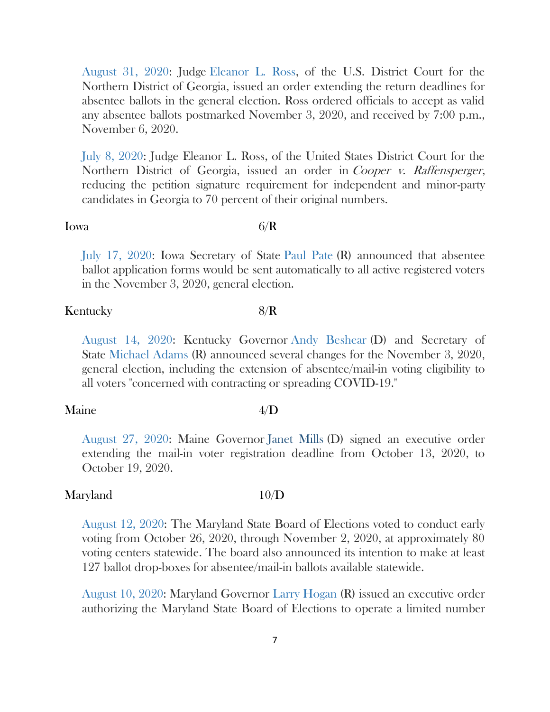[August 31, 2020:](https://ballotpedia.org/Changes_to_election_dates,_procedures,_and_administration_in_response_to_the_coronavirus_(COVID-19)_pandemic,_2020#Georgia) Judge [Eleanor L. Ross,](https://ballotpedia.org/Eleanor_L._Ross) of the U.S. District Court for the Northern District of Georgia, issued an order extending the return deadlines for absentee ballots in the general election. Ross ordered officials to accept as valid any absentee ballots postmarked November 3, 2020, and received by 7:00 p.m., November 6, 2020.

[July 8, 2020:](https://ballotpedia.org/Changes_to_election_dates,_procedures,_and_administration_in_response_to_the_coronavirus_(COVID-19)_pandemic,_2020#Georgia) Judge Eleanor L. Ross, of the United States District Court for the Northern District of Georgia, issued an order in *Cooper v. Raffensperger*, reducing the petition signature requirement for independent and minor-party candidates in Georgia to 70 percent of their original numbers.

# Iowa  $6/R$

[July 17, 2020:](https://ballotpedia.org/Changes_to_election_dates,_procedures,_and_administration_in_response_to_the_coronavirus_(COVID-19)_pandemic,_2020#Iowa) Iowa Secretary of State [Paul Pate](https://ballotpedia.org/Paul_Pate) (R) announced that absentee ballot application forms would be sent automatically to all active registered voters in the November 3, 2020, general election.

# Kentucky 8/R

[August 14, 2020:](https://ballotpedia.org/Changes_to_election_dates,_procedures,_and_administration_in_response_to_the_coronavirus_(COVID-19)_pandemic,_2020#Kentucky) Kentucky Governor [Andy Beshear](https://ballotpedia.org/Andy_Beshear) (D) and Secretary of State [Michael Adams](https://ballotpedia.org/Michael_Adams) (R) announced several changes for the November 3, 2020, general election, including the extension of absentee/mail-in voting eligibility to all voters "concerned with contracting or spreading COVID-19."

# Maine 4/D

[August 27, 2020:](https://ballotpedia.org/Changes_to_election_dates,_procedures,_and_administration_in_response_to_the_coronavirus_(COVID-19)_pandemic,_2020#Maine) Maine Governor [Janet Mills](https://ballotpedia.org/Janet_Mills) (D) signed an executive order extending the mail-in voter registration deadline from October 13, 2020, to October 19, 2020.

# Maryland 10/D

[August 12, 2020:](https://ballotpedia.org/Changes_to_election_dates,_procedures,_and_administration_in_response_to_the_coronavirus_(COVID-19)_pandemic,_2020#Maryland) The Maryland State Board of Elections voted to conduct early voting from October 26, 2020, through November 2, 2020, at approximately 80 voting centers statewide. The board also announced its intention to make at least 127 ballot drop-boxes for absentee/mail-in ballots available statewide.

[August 10, 2020:](https://ballotpedia.org/Changes_to_election_dates,_procedures,_and_administration_in_response_to_the_coronavirus_(COVID-19)_pandemic,_2020#Maryland) Maryland Governor [Larry Hogan](https://ballotpedia.org/Larry_Hogan) (R) issued an executive order authorizing the Maryland State Board of Elections to operate a limited number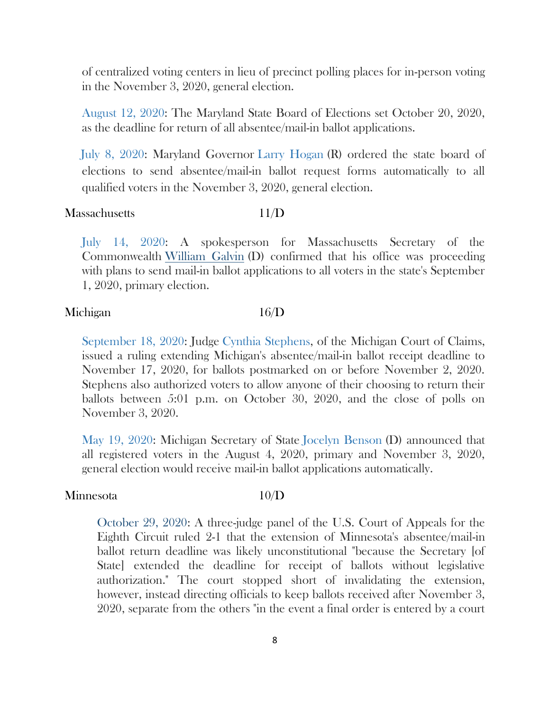of centralized voting centers in lieu of precinct polling places for in-person voting in the November 3, 2020, general election.

[August 12, 2020:](https://ballotpedia.org/Changes_to_election_dates,_procedures,_and_administration_in_response_to_the_coronavirus_(COVID-19)_pandemic,_2020#Maryland) The Maryland State Board of Elections set October 20, 2020, as the deadline for return of all absentee/mail-in ballot applications.

[July 8, 2020:](https://ballotpedia.org/Changes_to_election_dates,_procedures,_and_administration_in_response_to_the_coronavirus_(COVID-19)_pandemic,_2020#Maryland) Maryland Governor [Larry Hogan](https://ballotpedia.org/Larry_Hogan) (R) ordered the state board of elections to send absentee/mail-in ballot request forms automatically to all qualified voters in the November 3, 2020, general election.

### Massachusetts 11/D

[July 14, 2020:](https://ballotpedia.org/Changes_to_election_dates,_procedures,_and_administration_in_response_to_the_coronavirus_(COVID-19)_pandemic,_2020#Massachusetts) A spokesperson for Massachusetts Secretary of the Commonwealth [William Galvin](https://ballotpedia.org/William_Galvin) (D) confirmed that his office was proceeding with plans to send mail-in ballot applications to all voters in the state's September 1, 2020, primary election.

### Michigan 16/D

[September 18, 2020:](https://ballotpedia.org/Changes_to_election_dates,_procedures,_and_administration_in_response_to_the_coronavirus_(COVID-19)_pandemic,_2020#Michigan) Judge [Cynthia Stephens,](https://ballotpedia.org/Cynthia_Stephens) of the Michigan Court of Claims, issued a ruling extending Michigan's absentee/mail-in ballot receipt deadline to November 17, 2020, for ballots postmarked on or before November 2, 2020. Stephens also authorized voters to allow anyone of their choosing to return their ballots between 5:01 p.m. on October 30, 2020, and the close of polls on November 3, 2020.

[May 19, 2020:](https://ballotpedia.org/Changes_to_election_dates,_procedures,_and_administration_in_response_to_the_coronavirus_(COVID-19)_pandemic,_2020#Michigan) Michigan Secretary of State [Jocelyn Benson](https://ballotpedia.org/Jocelyn_Benson) (D) announced that all registered voters in the August 4, 2020, primary and November 3, 2020, general election would receive mail-in ballot applications automatically.

### Minnesota 10/D

[October 29, 2020:](https://ballotpedia.org/Changes_to_election_dates,_procedures,_and_administration_in_response_to_the_coronavirus_(COVID-19)_pandemic,_2020#Minnesota) A three-judge panel of the U.S. Court of Appeals for the Eighth Circuit ruled 2-1 that the extension of Minnesota's absentee/mail-in ballot return deadline was likely unconstitutional "because the Secretary [of State] extended the deadline for receipt of ballots without legislative authorization." The court stopped short of invalidating the extension, however, instead directing officials to keep ballots received after November 3, 2020, separate from the others "in the event a final order is entered by a court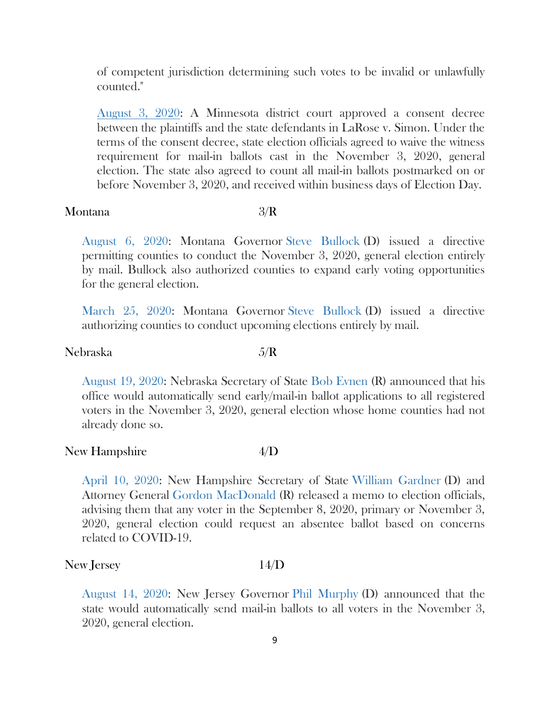of competent jurisdiction determining such votes to be invalid or unlawfully counted."

[August 3, 2020:](https://ballotpedia.org/Changes_to_election_dates,_procedures,_and_administration_in_response_to_the_coronavirus_(COVID-19)_pandemic,_2020#Minnesota) A Minnesota district court approved a consent decree between the plaintiffs and the state defendants in LaRose v. Simon. Under the terms of the consent decree, state election officials agreed to waive the witness requirement for mail-in ballots cast in the November 3, 2020, general election. The state also agreed to count all mail-in ballots postmarked on or before November 3, 2020, and received within business days of Election Day.

### Montana 3/R

[August 6, 2020:](https://ballotpedia.org/Changes_to_election_dates,_procedures,_and_administration_in_response_to_the_coronavirus_(COVID-19)_pandemic,_2020#Montana) Montana Governor [Steve Bullock](https://ballotpedia.org/Steve_Bullock) (D) issued a directive permitting counties to conduct the November 3, 2020, general election entirely by mail. Bullock also authorized counties to expand early voting opportunities for the general election.

[March 25, 2020:](https://ballotpedia.org/Changes_to_election_dates,_procedures,_and_administration_in_response_to_the_coronavirus_(COVID-19)_pandemic,_2020#Montana) Montana Governor [Steve Bullock](https://ballotpedia.org/Steve_Bullock) (D) issued a directive authorizing counties to conduct upcoming elections entirely by mail.

# Nebraska 5/R

[August 19, 2020:](https://ballotpedia.org/Changes_to_election_dates,_procedures,_and_administration_in_response_to_the_coronavirus_(COVID-19)_pandemic,_2020#Nebraska) Nebraska Secretary of State [Bob Evnen](https://ballotpedia.org/Bob_Evnen) (R) announced that his office would automatically send early/mail-in ballot applications to all registered voters in the November 3, 2020, general election whose home counties had not already done so.

### New Hampshire 4/D

[April 10, 2020:](https://ballotpedia.org/Changes_to_election_dates,_procedures,_and_administration_in_response_to_the_coronavirus_(COVID-19)_pandemic,_2020#New_Hampshire) New Hampshire Secretary of State [William Gardner](https://ballotpedia.org/William_Gardner) (D) and Attorney General [Gordon MacDonald](https://ballotpedia.org/Gordon_MacDonald) (R) released a memo to election officials, advising them that any voter in the September 8, 2020, primary or November 3, 2020, general election could request an absentee ballot based on concerns related to COVID-19.

### New Jersey 14/D

[August 14, 2020:](https://ballotpedia.org/Changes_to_election_dates,_procedures,_and_administration_in_response_to_the_coronavirus_(COVID-19)_pandemic,_2020#New_Jersey) New Jersey Governor [Phil Murphy](https://ballotpedia.org/Phil_Murphy) (D) announced that the state would automatically send mail-in ballots to all voters in the November 3, 2020, general election.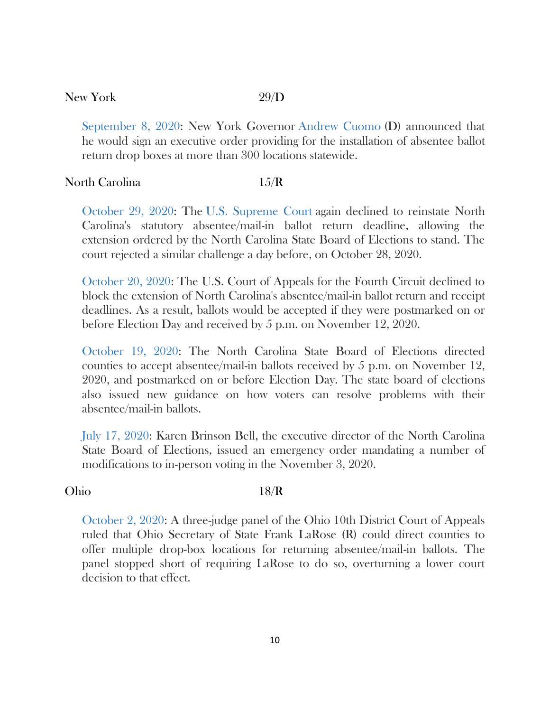### New York 29/D

[September 8, 2020:](https://ballotpedia.org/Changes_to_election_dates,_procedures,_and_administration_in_response_to_the_coronavirus_(COVID-19)_pandemic,_2020#New_York) New York Governor [Andrew Cuomo](https://ballotpedia.org/Andrew_Cuomo) (D) announced that he would sign an executive order providing for the installation of absentee ballot return drop boxes at more than 300 locations statewide.

### North Carolina 15/R

[October 29, 2020:](https://ballotpedia.org/Changes_to_election_dates,_procedures,_and_administration_in_response_to_the_coronavirus_(COVID-19)_pandemic,_2020#North_Carolina) The [U.S. Supreme Court](https://ballotpedia.org/U.S._Supreme_Court) again declined to reinstate North Carolina's statutory absentee/mail-in ballot return deadline, allowing the extension ordered by the North Carolina State Board of Elections to stand. The court rejected a similar challenge a day before, on October 28, 2020.

[October 20, 2020:](https://ballotpedia.org/Changes_to_election_dates,_procedures,_and_administration_in_response_to_the_coronavirus_(COVID-19)_pandemic,_2020#North_Carolina) The U.S. Court of Appeals for the Fourth Circuit declined to block the extension of North Carolina's absentee/mail-in ballot return and receipt deadlines. As a result, ballots would be accepted if they were postmarked on or before Election Day and received by 5 p.m. on November 12, 2020.

[October 19, 2020:](https://ballotpedia.org/Changes_to_election_dates,_procedures,_and_administration_in_response_to_the_coronavirus_(COVID-19)_pandemic,_2020#North_Carolina) The North Carolina State Board of Elections directed counties to accept absentee/mail-in ballots received by 5 p.m. on November 12, 2020, and postmarked on or before Election Day. The state board of elections also issued new guidance on how voters can resolve problems with their absentee/mail-in ballots.

[July 17, 2020:](https://ballotpedia.org/Changes_to_election_dates,_procedures,_and_administration_in_response_to_the_coronavirus_(COVID-19)_pandemic,_2020#North_Carolina) Karen Brinson Bell, the executive director of the North Carolina State Board of Elections, issued an emergency order mandating a number of modifications to in-person voting in the November 3, 2020.

# Ohio 18/R

[October 2, 2020:](https://ballotpedia.org/Changes_to_election_dates,_procedures,_and_administration_in_response_to_the_coronavirus_(COVID-19)_pandemic,_2020#Ohio) A three-judge panel of the Ohio 10th District Court of Appeals ruled that Ohio Secretary of State Frank LaRose (R) could direct counties to offer multiple drop-box locations for returning absentee/mail-in ballots. The panel stopped short of requiring LaRose to do so, overturning a lower court decision to that effect.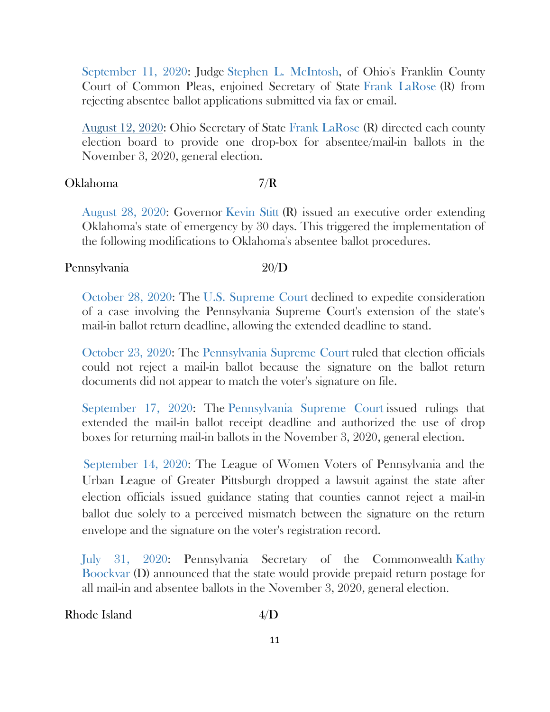[September 11, 2020:](https://ballotpedia.org/Changes_to_election_dates,_procedures,_and_administration_in_response_to_the_coronavirus_(COVID-19)_pandemic,_2020#Ohio) Judge [Stephen L. McIntosh,](https://ballotpedia.org/Stephen_L._McIntosh) of Ohio's Franklin County Court of Common Pleas, enjoined Secretary of State [Frank LaRose](https://ballotpedia.org/Frank_LaRose) (R) from rejecting absentee ballot applications submitted via fax or email.

[August 12, 2020:](https://ballotpedia.org/Changes_to_election_dates,_procedures,_and_administration_in_response_to_the_coronavirus_(COVID-19)_pandemic,_2020#Ohio) Ohio Secretary of State [Frank LaRose](https://ballotpedia.org/Frank_LaRose) (R) directed each county election board to provide one drop-box for absentee/mail-in ballots in the November 3, 2020, general election.

# Oklahoma 7/R

[August 28, 2020:](https://ballotpedia.org/Changes_to_election_dates,_procedures,_and_administration_in_response_to_the_coronavirus_(COVID-19)_pandemic,_2020#Oklahoma) Governor [Kevin Stitt](https://ballotpedia.org/Kevin_Stitt) (R) issued an executive order extending Oklahoma's state of emergency by 30 days. This triggered the implementation of the following modifications to Oklahoma's absentee ballot procedures.

# Pennsylvania 20/D

[October 28, 2020:](https://ballotpedia.org/Changes_to_election_dates,_procedures,_and_administration_in_response_to_the_coronavirus_(COVID-19)_pandemic,_2020#Pennsylvania) The [U.S. Supreme Court](https://ballotpedia.org/U.S._Supreme_Court) declined to expedite consideration of a case involving the Pennsylvania Supreme Court's extension of the state's mail-in ballot return deadline, allowing the extended deadline to stand.

[October 23, 2020:](https://ballotpedia.org/Changes_to_election_dates,_procedures,_and_administration_in_response_to_the_coronavirus_(COVID-19)_pandemic,_2020#Pennsylvania) The [Pennsylvania Supreme Court](https://ballotpedia.org/Pennsylvania_Supreme_Court) ruled that election officials could not reject a mail-in ballot because the signature on the ballot return documents did not appear to match the voter's signature on file.

[September 17, 2020:](https://ballotpedia.org/Changes_to_election_dates,_procedures,_and_administration_in_response_to_the_coronavirus_(COVID-19)_pandemic,_2020#Pennsylvania) The [Pennsylvania Supreme Court](https://ballotpedia.org/Pennsylvania_Supreme_Court) issued rulings that extended the mail-in ballot receipt deadline and authorized the use of drop boxes for returning mail-in ballots in the November 3, 2020, general election.

[September 14, 2020:](https://ballotpedia.org/Changes_to_election_dates,_procedures,_and_administration_in_response_to_the_coronavirus_(COVID-19)_pandemic,_2020#Pennsylvania) The League of Women Voters of Pennsylvania and the Urban League of Greater Pittsburgh dropped a lawsuit against the state after election officials issued guidance stating that counties cannot reject a mail-in ballot due solely to a perceived mismatch between the signature on the return envelope and the signature on the voter's registration record.

[July 31, 2020:](https://ballotpedia.org/Changes_to_election_dates,_procedures,_and_administration_in_response_to_the_coronavirus_(COVID-19)_pandemic,_2020#Pennsylvania) Pennsylvania Secretary of the Commonwealth [Kathy](https://ballotpedia.org/Kathy_Boockvar)  [Boockvar](https://ballotpedia.org/Kathy_Boockvar) (D) announced that the state would provide prepaid return postage for all mail-in and absentee ballots in the November 3, 2020, general election.

Rhode Island 4/D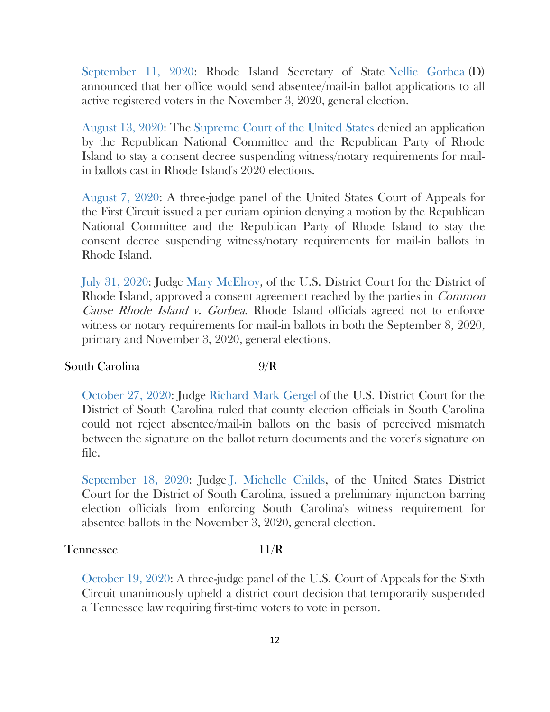[September 11, 2020:](https://ballotpedia.org/Changes_to_election_dates,_procedures,_and_administration_in_response_to_the_coronavirus_(COVID-19)_pandemic,_2020#Rhode_Island) Rhode Island Secretary of State [Nellie Gorbea](https://ballotpedia.org/Nellie_Gorbea) (D) announced that her office would send absentee/mail-in ballot applications to all active registered voters in the November 3, 2020, general election.

[August 13, 2020:](https://ballotpedia.org/Changes_to_election_dates,_procedures,_and_administration_in_response_to_the_coronavirus_(COVID-19)_pandemic,_2020#Rhode_Island) The [Supreme Court of the United States](https://ballotpedia.org/Supreme_Court_of_the_United_States) denied an application by the Republican National Committee and the Republican Party of Rhode Island to stay a consent decree suspending witness/notary requirements for mailin ballots cast in Rhode Island's 2020 elections.

[August 7, 2020:](https://ballotpedia.org/Changes_to_election_dates,_procedures,_and_administration_in_response_to_the_coronavirus_(COVID-19)_pandemic,_2020#Rhode_Island) A three-judge panel of the United States Court of Appeals for the First Circuit issued a per curiam opinion denying a motion by the Republican National Committee and the Republican Party of Rhode Island to stay the consent decree suspending witness/notary requirements for mail-in ballots in Rhode Island.

[July 31, 2020:](https://ballotpedia.org/Changes_to_election_dates,_procedures,_and_administration_in_response_to_the_coronavirus_(COVID-19)_pandemic,_2020#Rhode_Island) Judge [Mary McElroy,](https://ballotpedia.org/Mary_McElroy) of the U.S. District Court for the District of Rhode Island, approved a consent agreement reached by the parties in Common Cause Rhode Island v. Gorbea. Rhode Island officials agreed not to enforce witness or notary requirements for mail-in ballots in both the September 8, 2020, primary and November 3, 2020, general elections.

### South Carolina 9/R

[October 27, 2020:](https://ballotpedia.org/Changes_to_election_dates,_procedures,_and_administration_in_response_to_the_coronavirus_(COVID-19)_pandemic,_2020#South_Carolina) Judge [Richard Mark Gergel](https://ballotpedia.org/Richard_Mark_Gergel) of the U.S. District Court for the District of South Carolina ruled that county election officials in South Carolina could not reject absentee/mail-in ballots on the basis of perceived mismatch between the signature on the ballot return documents and the voter's signature on file.

[September 18, 2020:](https://ballotpedia.org/Changes_to_election_dates,_procedures,_and_administration_in_response_to_the_coronavirus_(COVID-19)_pandemic,_2020#South_Carolina) Judge [J. Michelle Childs,](https://ballotpedia.org/J._Michelle_Childs) of the United States District Court for the District of South Carolina, issued a preliminary injunction barring election officials from enforcing South Carolina's witness requirement for absentee ballots in the November 3, 2020, general election.

### Tennessee 11/R

[October 19, 2020:](https://ballotpedia.org/Changes_to_election_dates,_procedures,_and_administration_in_response_to_the_coronavirus_(COVID-19)_pandemic,_2020#Tennessee) A three-judge panel of the U.S. Court of Appeals for the Sixth Circuit unanimously upheld a district court decision that temporarily suspended a Tennessee law requiring first-time voters to vote in person.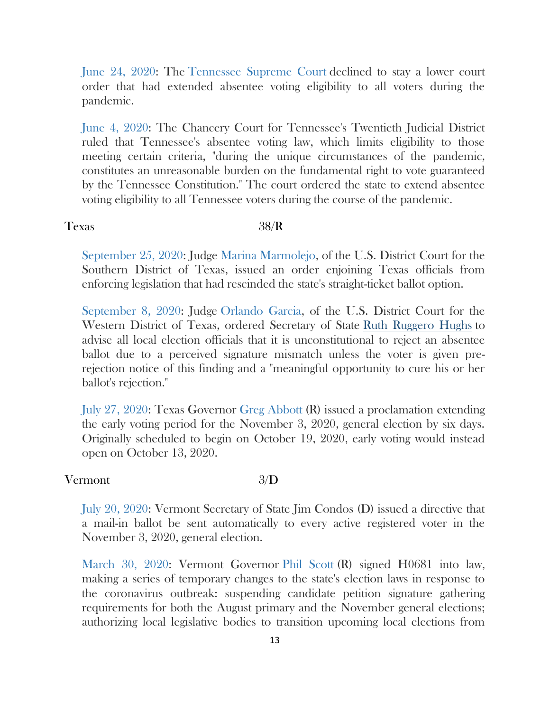[June 24, 2020:](https://ballotpedia.org/Changes_to_election_dates,_procedures,_and_administration_in_response_to_the_coronavirus_(COVID-19)_pandemic,_2020#Tennessee) The [Tennessee Supreme Court](https://ballotpedia.org/Tennessee_Supreme_Court) declined to stay a lower court order that had extended absentee voting eligibility to all voters during the pandemic.

[June 4, 2020:](https://ballotpedia.org/Changes_to_election_dates,_procedures,_and_administration_in_response_to_the_coronavirus_(COVID-19)_pandemic,_2020#Tennessee) The Chancery Court for Tennessee's Twentieth Judicial District ruled that Tennessee's absentee voting law, which limits eligibility to those meeting certain criteria, "during the unique circumstances of the pandemic, constitutes an unreasonable burden on the fundamental right to vote guaranteed by the Tennessee Constitution." The court ordered the state to extend absentee voting eligibility to all Tennessee voters during the course of the pandemic.

### Texas 38/R

[September 25, 2020:](https://ballotpedia.org/Changes_to_election_dates,_procedures,_and_administration_in_response_to_the_coronavirus_(COVID-19)_pandemic,_2020#Texas) Judge [Marina Marmolejo,](https://ballotpedia.org/Marina_Marmolejo) of the U.S. District Court for the Southern District of Texas, issued an order enjoining Texas officials from enforcing legislation that had rescinded the state's straight-ticket ballot option.

[September 8, 2020:](https://ballotpedia.org/Changes_to_election_dates,_procedures,_and_administration_in_response_to_the_coronavirus_(COVID-19)_pandemic,_2020#Texas) Judge [Orlando Garcia,](https://ballotpedia.org/Orlando_Garcia) of the U.S. District Court for the Western District of Texas, ordered Secretary of State [Ruth Ruggero Hughs](https://ballotpedia.org/Ruth_Ruggero_Hughs) to advise all local election officials that it is unconstitutional to reject an absentee ballot due to a perceived signature mismatch unless the voter is given prerejection notice of this finding and a "meaningful opportunity to cure his or her ballot's rejection."

[July 27, 2020:](https://ballotpedia.org/Changes_to_election_dates,_procedures,_and_administration_in_response_to_the_coronavirus_(COVID-19)_pandemic,_2020#Texas) Texas Governor [Greg Abbott](https://ballotpedia.org/Greg_Abbott) (R) issued a proclamation extending the early voting period for the November 3, 2020, general election by six days. Originally scheduled to begin on October 19, 2020, early voting would instead open on October 13, 2020.

# Vermont 3/D

[July 20, 2020:](https://ballotpedia.org/Changes_to_election_dates,_procedures,_and_administration_in_response_to_the_coronavirus_(COVID-19)_pandemic,_2020#Vermont) Vermont Secretary of State Jim Condos (D) issued a directive that a mail-in ballot be sent automatically to every active registered voter in the November 3, 2020, general election.

[March 30, 2020:](https://ballotpedia.org/Changes_to_election_dates,_procedures,_and_administration_in_response_to_the_coronavirus_(COVID-19)_pandemic,_2020#Vermont) Vermont Governor [Phil Scott](https://ballotpedia.org/Phil_Scott) (R) signed H0681 into law, making a series of temporary changes to the state's election laws in response to the coronavirus outbreak: suspending candidate petition signature gathering requirements for both the August primary and the November general elections; authorizing local legislative bodies to transition upcoming local elections from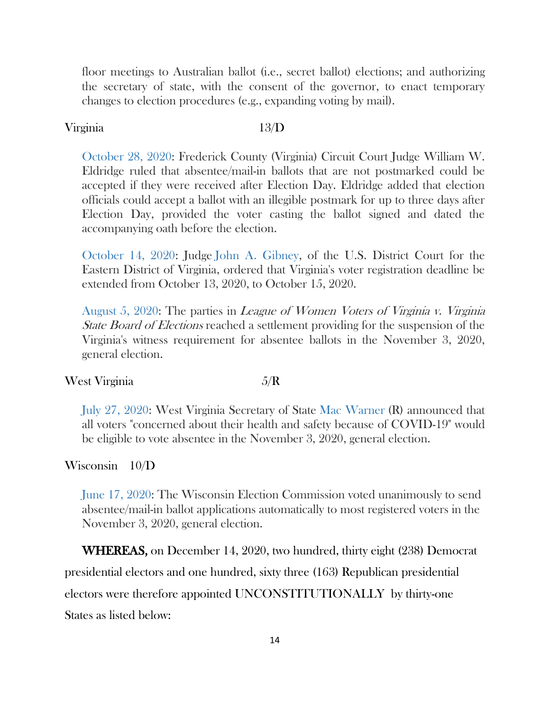floor meetings to Australian ballot (i.e., secret ballot) elections; and authorizing the secretary of state, with the consent of the governor, to enact temporary changes to election procedures (e.g., expanding voting by mail).

### Virginia 13/D

[October 28, 2020:](https://ballotpedia.org/Changes_to_election_dates,_procedures,_and_administration_in_response_to_the_coronavirus_(COVID-19)_pandemic,_2020#Virginia) Frederick County (Virginia) Circuit Court Judge William W. Eldridge ruled that absentee/mail-in ballots that are not postmarked could be accepted if they were received after Election Day. Eldridge added that election officials could accept a ballot with an illegible postmark for up to three days after Election Day, provided the voter casting the ballot signed and dated the accompanying oath before the election.

[October 14, 2020:](https://ballotpedia.org/Changes_to_election_dates,_procedures,_and_administration_in_response_to_the_coronavirus_(COVID-19)_pandemic,_2020#Virginia) Judge [John A. Gibney,](https://ballotpedia.org/John_A._Gibney) of the U.S. District Court for the Eastern District of Virginia, ordered that Virginia's voter registration deadline be extended from October 13, 2020, to October 15, 2020.

[August 5, 2020:](https://ballotpedia.org/Changes_to_election_dates,_procedures,_and_administration_in_response_to_the_coronavirus_(COVID-19)_pandemic,_2020#Virginia) The parties in League of Women Voters of Virginia v. Virginia *State Board of Elections* reached a settlement providing for the suspension of the Virginia's witness requirement for absentee ballots in the November 3, 2020, general election.

### West Virginia  $5/R$

[July 27, 2020:](https://ballotpedia.org/Changes_to_election_dates,_procedures,_and_administration_in_response_to_the_coronavirus_(COVID-19)_pandemic,_2020#West_Virginia) West Virginia Secretary of State [Mac Warner](https://ballotpedia.org/Mac_Warner) (R) announced that all voters "concerned about their health and safety because of COVID-19" would be eligible to vote absentee in the November 3, 2020, general election.

# Wisconsin 10/D

[June 17, 2020:](https://ballotpedia.org/Changes_to_election_dates,_procedures,_and_administration_in_response_to_the_coronavirus_(COVID-19)_pandemic,_2020#Wisconsin) The Wisconsin Election Commission voted unanimously to send absentee/mail-in ballot applications automatically to most registered voters in the November 3, 2020, general election.

WHEREAS, on December 14, 2020, two hundred, thirty eight (238) Democrat presidential electors and one hundred, sixty three (163) Republican presidential electors were therefore appointed UNCONSTITUTIONALLY by thirty-one States as listed below: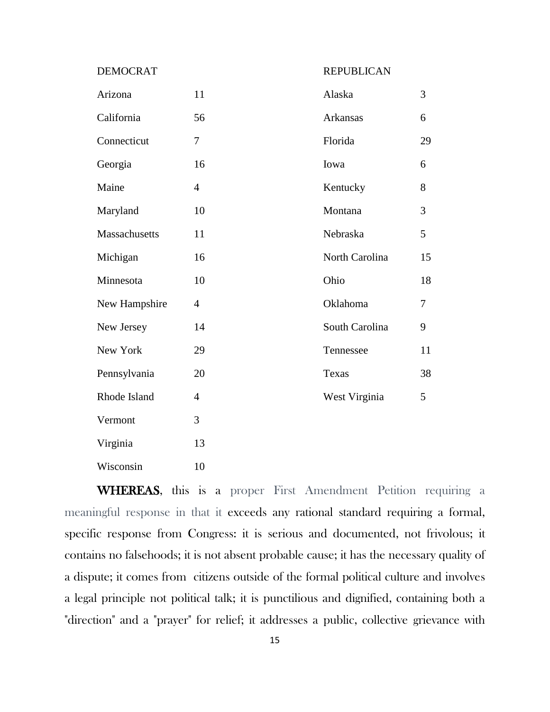DEMOCRAT REPUBLICAN

| Arizona       | 11             | Alaska          | $\overline{3}$ |
|---------------|----------------|-----------------|----------------|
| California    | 56             | <b>Arkansas</b> | 6              |
| Connecticut   | 7              | Florida         | 29             |
| Georgia       | 16             | Iowa            | 6              |
| Maine         | $\overline{4}$ | Kentucky        | 8              |
| Maryland      | 10             | Montana         | $\overline{3}$ |
| Massachusetts | 11             | Nebraska        | 5              |
| Michigan      | 16             | North Carolina  | 15             |
| Minnesota     | 10             | Ohio            | 18             |
| New Hampshire | $\overline{4}$ | Oklahoma        | $\overline{7}$ |
| New Jersey    | 14             | South Carolina  | 9              |
| New York      | 29             | Tennessee       | 11             |
| Pennsylvania  | 20             | Texas           | 38             |
| Rhode Island  | $\overline{4}$ | West Virginia   | 5              |
| Vermont       | 3              |                 |                |
| Virginia      | 13             |                 |                |
| Wisconsin     | 10             |                 |                |

WHEREAS, this is a proper First Amendment Petition requiring a meaningful response in that it exceeds any rational standard requiring a formal, specific response from Congress: it is serious and documented, not frivolous; it contains no falsehoods; it is not absent probable cause; it has the necessary quality of a dispute; it comes from citizens outside of the formal political culture and involves a legal principle not political talk; it is punctilious and dignified, containing both a "direction" and a "prayer" for relief; it addresses a public, collective grievance with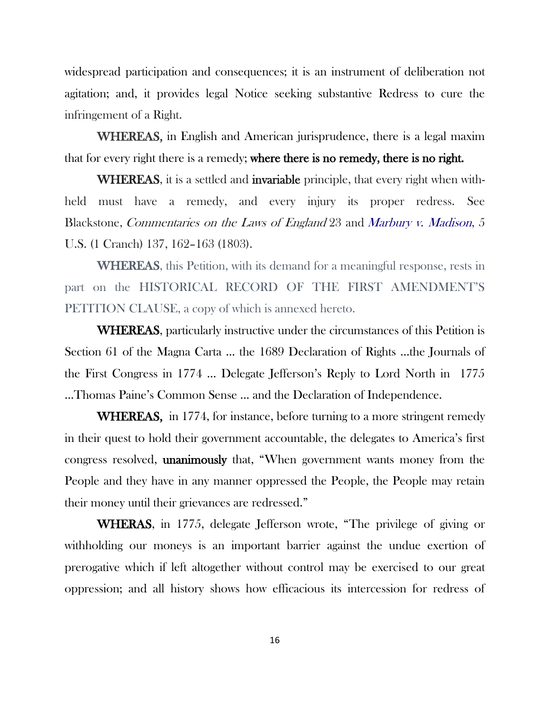widespread participation and consequences; it is an instrument of deliberation not agitation; and, it provides legal Notice seeking substantive Redress to cure the infringement of a Right.

WHEREAS, in English and American jurisprudence, there is a legal maxim that for every right there is a remedy; where there is no remedy, there is no right.

WHEREAS, it is a settled and invariable principle, that every right when withheld must have a remedy, and every injury its proper redress. See Blackstone, Commentaries on the Laws of England 23 and [Marbury v. Madison](https://en.wikipedia.org/wiki/Marbury_v._Madison), 5 U.S. (1 Cranch) 137, 162–163 (1803).

WHEREAS, this Petition, with its demand for a meaningful response, rests in part on the HISTORICAL RECORD OF THE FIRST AMENDMENT'S PETITION CLAUSE, a copy of which is annexed hereto.

WHEREAS, particularly instructive under the circumstances of this Petition is Section 61 of the Magna Carta … the 1689 Declaration of Rights …the Journals of the First Congress in 1774 … Delegate Jefferson's Reply to Lord North in 1775 …Thomas Paine's Common Sense … and the Declaration of Independence.

WHEREAS, in 1774, for instance, before turning to a more stringent remedy in their quest to hold their government accountable, the delegates to America's first congress resolved, unanimously that, "When government wants money from the People and they have in any manner oppressed the People, the People may retain their money until their grievances are redressed."

WHERAS, in 1775, delegate Jefferson wrote, "The privilege of giving or withholding our moneys is an important barrier against the undue exertion of prerogative which if left altogether without control may be exercised to our great oppression; and all history shows how efficacious its intercession for redress of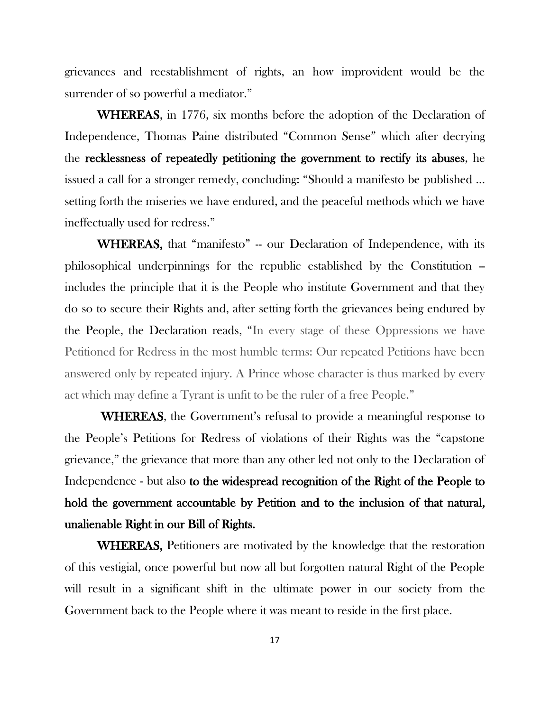grievances and reestablishment of rights, an how improvident would be the surrender of so powerful a mediator."

WHEREAS, in 1776, six months before the adoption of the Declaration of Independence, Thomas Paine distributed "Common Sense" which after decrying the recklessness of repeatedly petitioning the government to rectify its abuses, he issued a call for a stronger remedy, concluding: "Should a manifesto be published … setting forth the miseries we have endured, and the peaceful methods which we have ineffectually used for redress."

WHEREAS, that "manifesto" - our Declaration of Independence, with its philosophical underpinnings for the republic established by the Constitution - includes the principle that it is the People who institute Government and that they do so to secure their Rights and, after setting forth the grievances being endured by the People, the Declaration reads, "In every stage of these Oppressions we have Petitioned for Redress in the most humble terms: Our repeated Petitions have been answered only by repeated injury. A Prince whose character is thus marked by every act which may define a Tyrant is unfit to be the ruler of a free People."

WHEREAS, the Government's refusal to provide a meaningful response to the People's Petitions for Redress of violations of their Rights was the "capstone grievance," the grievance that more than any other led not only to the Declaration of Independence - but also to the widespread recognition of the Right of the People to hold the government accountable by Petition and to the inclusion of that natural, unalienable Right in our Bill of Rights.

WHEREAS, Petitioners are motivated by the knowledge that the restoration of this vestigial, once powerful but now all but forgotten natural Right of the People will result in a significant shift in the ultimate power in our society from the Government back to the People where it was meant to reside in the first place.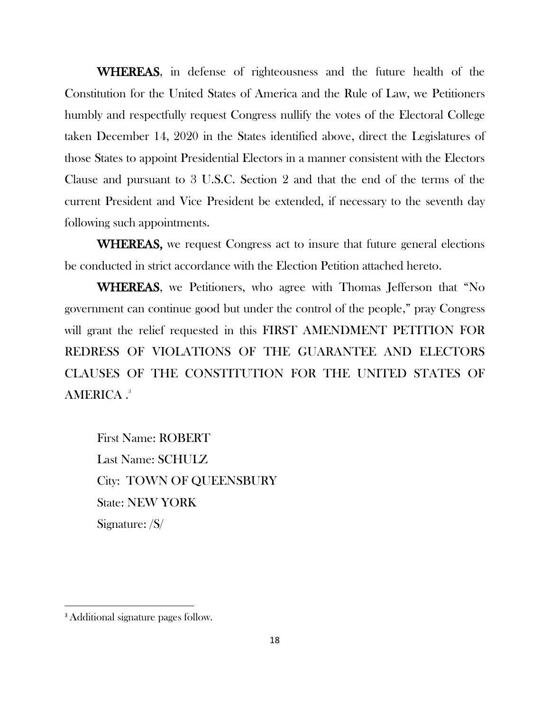WHEREAS, in defense of righteousness and the future health of the Constitution for the United States of America and the Rule of Law, we Petitioners humbly and respectfully request Congress nullify the votes of the Electoral College taken December 14, 2020 in the States identified above, direct the Legislatures of those States to appoint Presidential Electors in a manner consistent with the Electors Clause and pursuant to 3 U.S.C. Section 2 and that the end of the terms of the current President and Vice President be extended, if necessary to the seventh day following such appointments.

WHEREAS, we request Congress act to insure that future general elections be conducted in strict accordance with the Election Petition attached hereto.

WHEREAS, we Petitioners, who agree with Thomas Jefferson that "No government can continue good but under the control of the people," pray Congress will grant the relief requested in this FIRST AMENDMENT PETITION FOR REDRESS OF VIOLATIONS OF THE GUARANTEE AND ELECTORS CLAUSES OF THE CONSTITUTION FOR THE UNITED STATES OF AMERICA . 3

First Name: ROBERT Last Name: SCHULZ City: TOWN OF QUEENSBURY State: NEW YORK Signature: /S/

<sup>&</sup>lt;sup>3</sup> Additional signature pages follow.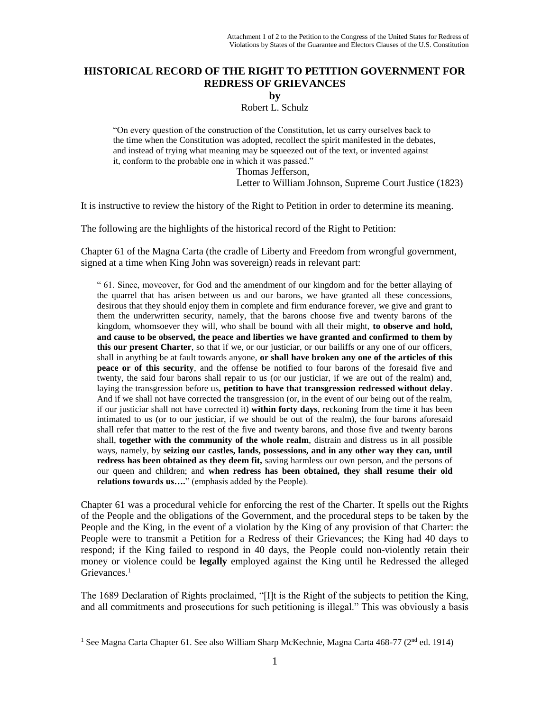### **HISTORICAL RECORD OF THE RIGHT TO PETITION GOVERNMENT FOR REDRESS OF GRIEVANCES**

**by**

Robert L. Schulz

"On every question of the construction of the Constitution, let us carry ourselves back to the time when the Constitution was adopted, recollect the spirit manifested in the debates, and instead of trying what meaning may be squeezed out of the text, or invented against it, conform to the probable one in which it was passed."

> Thomas Jefferson, Letter to William Johnson, Supreme Court Justice (1823)

It is instructive to review the history of the Right to Petition in order to determine its meaning.

The following are the highlights of the historical record of the Right to Petition:

Chapter 61 of the Magna Carta (the cradle of Liberty and Freedom from wrongful government, signed at a time when King John was sovereign) reads in relevant part:

" 61. Since, moveover, for God and the amendment of our kingdom and for the better allaying of the quarrel that has arisen between us and our barons, we have granted all these concessions, desirous that they should enjoy them in complete and firm endurance forever, we give and grant to them the underwritten security, namely, that the barons choose five and twenty barons of the kingdom, whomsoever they will, who shall be bound with all their might, **to observe and hold, and cause to be observed, the peace and liberties we have granted and confirmed to them by this our present Charter**, so that if we, or our justiciar, or our bailiffs or any one of our officers, shall in anything be at fault towards anyone, **or shall have broken any one of the articles of this peace or of this security**, and the offense be notified to four barons of the foresaid five and twenty, the said four barons shall repair to us (or our justiciar, if we are out of the realm) and, laying the transgression before us, **petition to have that transgression redressed without delay**. And if we shall not have corrected the transgression (or, in the event of our being out of the realm, if our justiciar shall not have corrected it) **within forty days**, reckoning from the time it has been intimated to us (or to our justiciar, if we should be out of the realm), the four barons aforesaid shall refer that matter to the rest of the five and twenty barons, and those five and twenty barons shall, **together with the community of the whole realm**, distrain and distress us in all possible ways, namely, by **seizing our castles, lands, possessions, and in any other way they can, until redress has been obtained as they deem fit,** saving harmless our own person, and the persons of our queen and children; and **when redress has been obtained, they shall resume their old relations towards us….**" (emphasis added by the People).

Chapter 61 was a procedural vehicle for enforcing the rest of the Charter. It spells out the Rights of the People and the obligations of the Government, and the procedural steps to be taken by the People and the King, in the event of a violation by the King of any provision of that Charter: the People were to transmit a Petition for a Redress of their Grievances; the King had 40 days to respond; if the King failed to respond in 40 days, the People could non-violently retain their money or violence could be **legally** employed against the King until he Redressed the alleged Grievances.<sup>1</sup>

The 1689 Declaration of Rights proclaimed, "[I]t is the Right of the subjects to petition the King, and all commitments and prosecutions for such petitioning is illegal." This was obviously a basis

<sup>&</sup>lt;sup>1</sup> See Magna Carta Chapter 61. See also William Sharp McKechnie, Magna Carta 468-77 (2<sup>nd</sup> ed. 1914)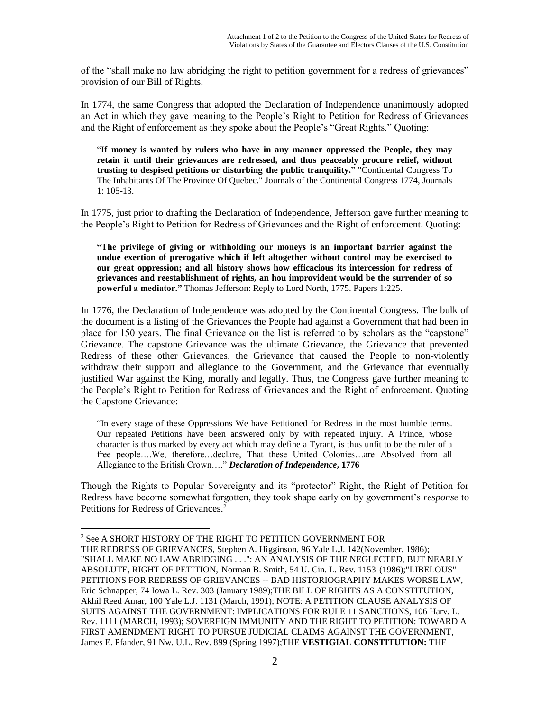of the "shall make no law abridging the right to petition government for a redress of grievances" provision of our Bill of Rights.

In 1774, the same Congress that adopted the Declaration of Independence unanimously adopted an Act in which they gave meaning to the People's Right to Petition for Redress of Grievances and the Right of enforcement as they spoke about the People's "Great Rights." Quoting:

"**If money is wanted by rulers who have in any manner oppressed the People, they may retain it until their grievances are redressed, and thus peaceably procure relief, without trusting to despised petitions or disturbing the public tranquility.**" "Continental Congress To The Inhabitants Of The Province Of Quebec." Journals of the Continental Congress 1774, Journals 1: 105-13.

In 1775, just prior to drafting the Declaration of Independence, Jefferson gave further meaning to the People's Right to Petition for Redress of Grievances and the Right of enforcement. Quoting:

**"The privilege of giving or withholding our moneys is an important barrier against the undue exertion of prerogative which if left altogether without control may be exercised to our great oppression; and all history shows how efficacious its intercession for redress of grievances and reestablishment of rights, an hou improvident would be the surrender of so powerful a mediator."** Thomas Jefferson: Reply to Lord North, 1775. Papers 1:225.

In 1776, the Declaration of Independence was adopted by the Continental Congress. The bulk of the document is a listing of the Grievances the People had against a Government that had been in place for 150 years. The final Grievance on the list is referred to by scholars as the "capstone" Grievance. The capstone Grievance was the ultimate Grievance, the Grievance that prevented Redress of these other Grievances, the Grievance that caused the People to non-violently withdraw their support and allegiance to the Government, and the Grievance that eventually justified War against the King, morally and legally. Thus, the Congress gave further meaning to the People's Right to Petition for Redress of Grievances and the Right of enforcement. Quoting the Capstone Grievance:

"In every stage of these Oppressions We have Petitioned for Redress in the most humble terms. Our repeated Petitions have been answered only by with repeated injury. A Prince, whose character is thus marked by every act which may define a Tyrant, is thus unfit to be the ruler of a free people….We, therefore…declare, That these United Colonies…are Absolved from all Allegiance to the British Crown…." *Declaration of Independence***, 1776**

Though the Rights to Popular Sovereignty and its "protector" Right, the Right of Petition for Redress have become somewhat forgotten, they took shape early on by government's *response* to Petitions for Redress of Grievances.<sup>2</sup>

<sup>2</sup> See A SHORT HISTORY OF THE RIGHT TO PETITION GOVERNMENT FOR

THE REDRESS OF GRIEVANCES, Stephen A. Higginson, 96 Yale L.J. 142(November, 1986); "SHALL MAKE NO LAW ABRIDGING . . .": AN ANALYSIS OF THE NEGLECTED, BUT NEARLY ABSOLUTE, RIGHT OF PETITION, Norman B. Smith, 54 U. Cin. L. Rev. 1153 (1986);"LIBELOUS" PETITIONS FOR REDRESS OF GRIEVANCES -- BAD HISTORIOGRAPHY MAKES WORSE LAW, Eric Schnapper, 74 Iowa L. Rev. 303 (January 1989);THE BILL OF RIGHTS AS A CONSTITUTION, Akhil Reed Amar, 100 Yale L.J. 1131 (March, 1991); NOTE: A PETITION CLAUSE ANALYSIS OF SUITS AGAINST THE GOVERNMENT: IMPLICATIONS FOR RULE 11 SANCTIONS, 106 Harv. L. Rev. 1111 (MARCH, 1993); SOVEREIGN IMMUNITY AND THE RIGHT TO PETITION: TOWARD A FIRST AMENDMENT RIGHT TO PURSUE JUDICIAL CLAIMS AGAINST THE GOVERNMENT, James E. Pfander, 91 Nw. U.L. Rev. 899 (Spring 1997);THE **VESTIGIAL CONSTITUTION:** THE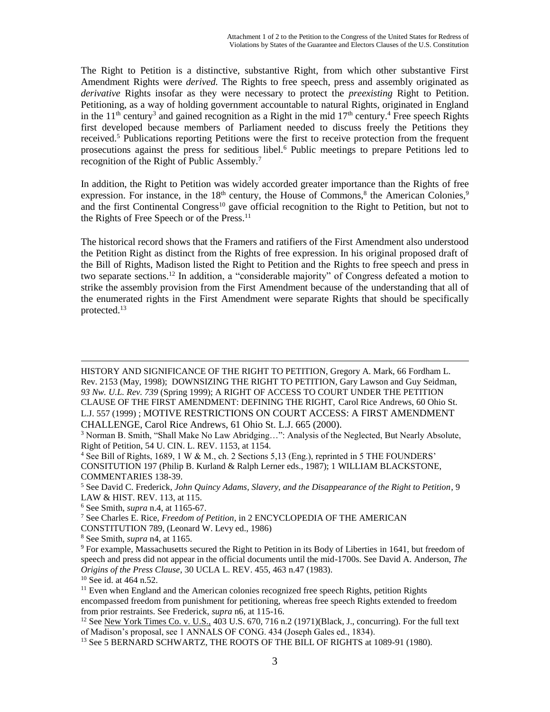The Right to Petition is a distinctive, substantive Right, from which other substantive First Amendment Rights were *derived.* The Rights to free speech, press and assembly originated as *derivative* Rights insofar as they were necessary to protect the *preexisting* Right to Petition. Petitioning, as a way of holding government accountable to natural Rights, originated in England in the  $11<sup>th</sup>$  century<sup>3</sup> and gained recognition as a Right in the mid  $17<sup>th</sup>$  century.<sup>4</sup> Free speech Rights first developed because members of Parliament needed to discuss freely the Petitions they received.<sup>5</sup> Publications reporting Petitions were the first to receive protection from the frequent prosecutions against the press for seditious libel.<sup>6</sup> Public meetings to prepare Petitions led to recognition of the Right of Public Assembly.<sup>7</sup>

In addition, the Right to Petition was widely accorded greater importance than the Rights of free expression. For instance, in the 18<sup>th</sup> century, the House of Commons,<sup>8</sup> the American Colonies,<sup>9</sup> and the first Continental Congress<sup>10</sup> gave official recognition to the Right to Petition, but not to the Rights of Free Speech or of the Press.<sup>11</sup>

The historical record shows that the Framers and ratifiers of the First Amendment also understood the Petition Right as distinct from the Rights of free expression. In his original proposed draft of the Bill of Rights, Madison listed the Right to Petition and the Rights to free speech and press in two separate sections.<sup>12</sup> In addition, a "considerable majority" of Congress defeated a motion to strike the assembly provision from the First Amendment because of the understanding that all of the enumerated rights in the First Amendment were separate Rights that should be specifically protected.<sup>13</sup>

HISTORY AND SIGNIFICANCE OF THE RIGHT TO PETITION, Gregory A. Mark, 66 Fordham L. Rev. 2153 (May, 1998); DOWNSIZING THE RIGHT TO PETITION, Gary Lawson and Guy Seidman, *93 Nw. U.L. Rev. 739* (Spring 1999); A RIGHT OF ACCESS TO COURT UNDER THE PETITION CLAUSE OF THE FIRST AMENDMENT: DEFINING THE RIGHT, Carol Rice Andrews, 60 Ohio St. L.J. 557 (1999) ; MOTIVE RESTRICTIONS ON COURT ACCESS: A FIRST AMENDMENT CHALLENGE, Carol Rice Andrews, 61 Ohio St. L.J. 665 (2000).

<sup>3</sup> Norman B. Smith, "Shall Make No Law Abridging…": Analysis of the Neglected, But Nearly Absolute, Right of Petition, 54 U. CIN. L. REV. 1153, at 1154.

<sup>4</sup> See Bill of Rights, 1689, 1 W & M., ch. 2 Sections 5,13 (Eng.), reprinted in 5 THE FOUNDERS' CONSITUTION 197 (Philip B. Kurland & Ralph Lerner eds., 1987); 1 WILLIAM BLACKSTONE, COMMENTARIES 138**-**39.

<sup>5</sup> See David C. Frederick, *John Quincy Adams, Slavery, and the Disappearance of the Right to Petition*, 9 LAW & HIST. REV. 113, at 115.

<sup>6</sup> See Smith, *supra* n.4, at 1165-67.

<sup>7</sup> See Charles E. Rice, *Freedom of Petition*, in 2 ENCYCLOPEDIA OF THE AMERICAN CONSTITUTION 789, (Leonard W. Levy ed., 1986)

<sup>8</sup> See Smith, *supra* n4, at 1165.

<sup>&</sup>lt;sup>9</sup> For example, Massachusetts secured the Right to Petition in its Body of Liberties in 1641, but freedom of speech and press did not appear in the official documents until the mid-1700s. See David A. Anderson, *The Origins of the Press Clause*, 30 UCLA L. REV. 455, 463 n.47 (1983).

<sup>10</sup> See id. at 464 n.52.

 $<sup>11</sup>$  Even when England and the American colonies recognized free speech Rights, petition Rights</sup> encompassed freedom from punishment for petitioning, whereas free speech Rights extended to freedom from prior restraints. See Frederick, *supra* n6, at 115-16.

<sup>&</sup>lt;sup>12</sup> See New York Times Co. v. U.S., 403 U.S. 670, 716 n.2 (1971)(Black, J., concurring). For the full text of Madison's proposal, see 1 ANNALS OF CONG. 434 (Joseph Gales ed., 1834).

<sup>&</sup>lt;sup>13</sup> See 5 BERNARD SCHWARTZ, THE ROOTS OF THE BILL OF RIGHTS at 1089-91 (1980).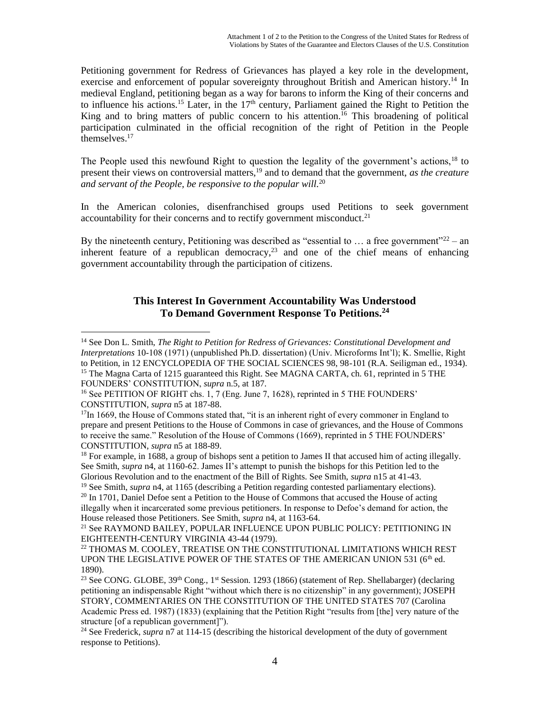Petitioning government for Redress of Grievances has played a key role in the development, exercise and enforcement of popular sovereignty throughout British and American history.<sup>14</sup> In medieval England, petitioning began as a way for barons to inform the King of their concerns and to influence his actions.<sup>15</sup> Later, in the  $17<sup>th</sup>$  century, Parliament gained the Right to Petition the King and to bring matters of public concern to his attention.<sup>16</sup> This broadening of political participation culminated in the official recognition of the right of Petition in the People themselves.<sup>17</sup>

The People used this newfound Right to question the legality of the government's actions,<sup>18</sup> to present their views on controversial matters,<sup>19</sup> and to demand that the government, *as the creature and servant of the People, be responsive to the popular will.*<sup>20</sup>

In the American colonies, disenfranchised groups used Petitions to seek government accountability for their concerns and to rectify government misconduct. $21$ 

By the nineteenth century, Petitioning was described as "essential to  $\ldots$  a free government"<sup>22</sup> – an inherent feature of a republican democracy,<sup>23</sup> and one of the chief means of enhancing government accountability through the participation of citizens.

# **This Interest In Government Accountability Was Understood To Demand Government Response To Petitions.<sup>24</sup>**

 $\overline{a}$ <sup>14</sup> See Don L. Smith, *The Right to Petition for Redress of Grievances: Constitutional Development and Interpretations* 10-108 (1971) (unpublished Ph.D. dissertation) (Univ. Microforms Int'l); K. Smellie, Right to Petition, in 12 ENCYCLOPEDIA OF THE SOCIAL SCIENCES 98, 98-101 (R.A. Seiligman ed., 1934). <sup>15</sup> The Magna Carta of 1215 guaranteed this Right. See MAGNA CARTA, ch. 61, reprinted in 5 THE

FOUNDERS' CONSTITUTION, *supra* n.5, at 187.

<sup>&</sup>lt;sup>16</sup> See PETITION OF RIGHT chs. 1, 7 (Eng. June 7, 1628), reprinted in 5 THE FOUNDERS' CONSTITUTION, *supra* n5 at 187-88.

 $17$ In 1669, the House of Commons stated that, "it is an inherent right of every commoner in England to prepare and present Petitions to the House of Commons in case of grievances, and the House of Commons to receive the same." Resolution of the House of Commons (1669), reprinted in 5 THE FOUNDERS' CONSTITUTION, *supra* n5 at 188-89.

<sup>&</sup>lt;sup>18</sup> For example, in 1688, a group of bishops sent a petition to James II that accused him of acting illegally. See Smith, *supra* n4, at 1160-62. James II's attempt to punish the bishops for this Petition led to the Glorious Revolution and to the enactment of the Bill of Rights. See Smith, *supra* n15 at 41-43.

<sup>19</sup> See Smith, *supra* n4, at 1165 (describing a Petition regarding contested parliamentary elections).  $20 \text{ In } 1701$ , Daniel Defoe sent a Petition to the House of Commons that accused the House of acting illegally when it incarcerated some previous petitioners. In response to Defoe's demand for action, the House released those Petitioners. See Smith, *supra* n4, at 1163-64.

<sup>&</sup>lt;sup>21</sup> See RAYMOND BAILEY, POPULAR INFLUENCE UPON PUBLIC POLICY: PETITIONING IN EIGHTEENTH-CENTURY VIRGINIA 43-44 (1979).

<sup>22</sup> THOMAS M. COOLEY, TREATISE ON THE CONSTITUTIONAL LIMITATIONS WHICH REST UPON THE LEGISLATIVE POWER OF THE STATES OF THE AMERICAN UNION 531 ( $6<sup>th</sup>$  ed. 1890).

<sup>&</sup>lt;sup>23</sup> See CONG. GLOBE, 39<sup>th</sup> Cong., 1<sup>st</sup> Session. 1293 (1866) (statement of Rep. Shellabarger) (declaring petitioning an indispensable Right "without which there is no citizenship" in any government); JOSEPH STORY, COMMENTARIES ON THE CONSTITUTION OF THE UNITED STATES 707 (Carolina Academic Press ed. 1987) (1833) (explaining that the Petition Right "results from [the] very nature of the structure [of a republican government]").

<sup>24</sup> See Frederick, *supra* n7 at 114-15 (describing the historical development of the duty of government response to Petitions).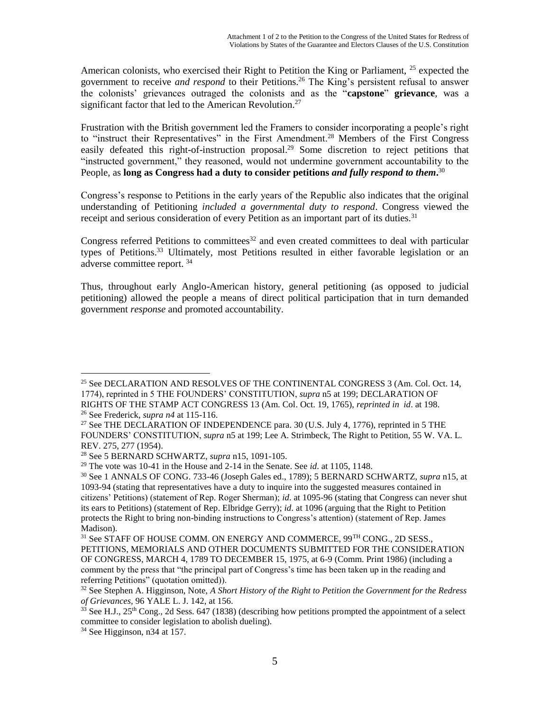American colonists, who exercised their Right to Petition the King or Parliament,  $^{25}$  expected the government to receive *and respond* to their Petitions.<sup>26</sup> The King's persistent refusal to answer the colonists' grievances outraged the colonists and as the "**capstone**" **grievance**, was a significant factor that led to the American Revolution.<sup>27</sup>

Frustration with the British government led the Framers to consider incorporating a people's right to "instruct their Representatives" in the First Amendment.<sup>28</sup> Members of the First Congress easily defeated this right-of-instruction proposal.<sup>29</sup> Some discretion to reject petitions that "instructed government," they reasoned, would not undermine government accountability to the People, as **long as Congress had a duty to consider petitions** *and fully respond to them***.** 30

Congress's response to Petitions in the early years of the Republic also indicates that the original understanding of Petitioning *included a governmental duty to respond*. Congress viewed the receipt and serious consideration of every Petition as an important part of its duties.<sup>31</sup>

Congress referred Petitions to committees<sup>32</sup> and even created committees to deal with particular types of Petitions.<sup>33</sup> Ultimately, most Petitions resulted in either favorable legislation or an adverse committee report. <sup>34</sup>

Thus, throughout early Anglo-American history, general petitioning (as opposed to judicial petitioning) allowed the people a means of direct political participation that in turn demanded government *response* and promoted accountability.

<sup>25</sup> See DECLARATION AND RESOLVES OF THE CONTINENTAL CONGRESS 3 (Am. Col. Oct. 14, 1774), reprinted in 5 THE FOUNDERS' CONSTITUTION, *supra* n5 at 199; DECLARATION OF RIGHTS OF THE STAMP ACT CONGRESS 13 (Am. Col. Oct. 19, 1765), *reprinted in id*. at 198. <sup>26</sup> See Frederick, *supra n4* at 115-116.

<sup>&</sup>lt;sup>27</sup> See THE DECLARATION OF INDEPENDENCE para. 30 (U.S. July 4, 1776), reprinted in 5 THE FOUNDERS' CONSTITUTION, *supra* n5 at 199; Lee A. Strimbeck, The Right to Petition, 55 W. VA. L. REV. 275, 277 (1954).

<sup>28</sup> See 5 BERNARD SCHWARTZ, *supra* n15, 1091-105.

<sup>29</sup> The vote was 10-41 in the House and 2-14 in the Senate. See *id*. at 1105, 1148.

<sup>30</sup> See 1 ANNALS OF CONG. 733-46 (Joseph Gales ed., 1789); 5 BERNARD SCHWARTZ, *supra* n15, at 1093-94 (stating that representatives have a duty to inquire into the suggested measures contained in citizens' Petitions) (statement of Rep. Roger Sherman); *id*. at 1095-96 (stating that Congress can never shut its ears to Petitions) (statement of Rep. Elbridge Gerry); *id*. at 1096 (arguing that the Right to Petition protects the Right to bring non-binding instructions to Congress's attention) (statement of Rep. James Madison).

<sup>&</sup>lt;sup>31</sup> See STAFF OF HOUSE COMM. ON ENERGY AND COMMERCE, 99<sup>TH</sup> CONG., 2D SESS., PETITIONS, MEMORIALS AND OTHER DOCUMENTS SUBMITTED FOR THE CONSIDERATION OF CONGRESS, MARCH 4, 1789 TO DECEMBER 15, 1975, at 6-9 (Comm. Print 1986) (including a comment by the press that "the principal part of Congress's time has been taken up in the reading and referring Petitions" (quotation omitted)).

<sup>32</sup> See Stephen A. Higginson, Note, *A Short History of the Right to Petition the Government for the Redress of Grievances,* 96 YALE L. J. 142, at 156.

 $3\overline{3}$  See H.J., 25<sup>th</sup> Cong., 2d Sess. 647 (1838) (describing how petitions prompted the appointment of a select committee to consider legislation to abolish dueling).

<sup>34</sup> See Higginson, n34 at 157.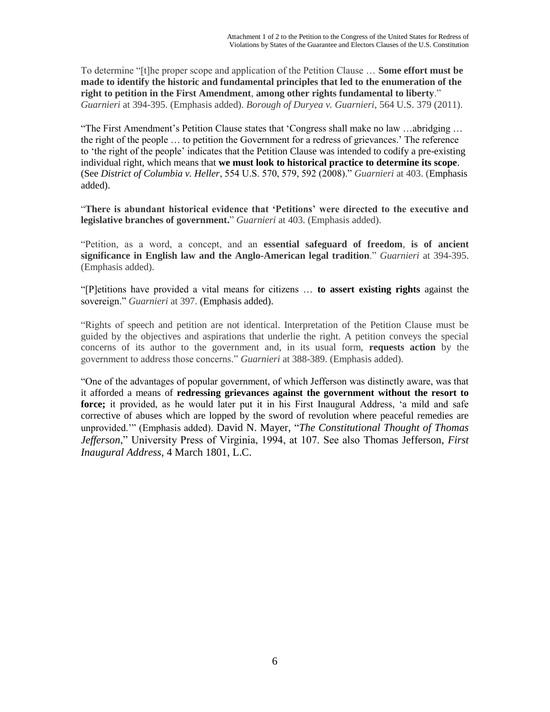To determine "[t]he proper scope and application of the Petition Clause … **Some effort must be made to identify the historic and fundamental principles that led to the enumeration of the right to petition in the First Amendment**, **among other rights fundamental to liberty**." *Guarnieri* at 394-395. (Emphasis added). *Borough of Duryea v. Guarnieri*, 564 U.S. 379 (2011).

"The First Amendment's Petition Clause states that 'Congress shall make no law …abridging … the right of the people … to petition the Government for a redress of grievances.' The reference to 'the right of the people' indicates that the Petition Clause was intended to codify a pre-existing individual right, which means that **we must look to historical practice to determine its scope**. (See *District of Columbia v. Heller*, 554 U.S. 570, 579, 592 (2008)." *Guarnieri* at 403. (Emphasis added).

"**There is abundant historical evidence that 'Petitions' were directed to the executive and legislative branches of government.**" *Guarnieri* at 403. (Emphasis added).

"Petition, as a word, a concept, and an **essential safeguard of freedom**, **is of ancient significance in English law and the Anglo-American legal tradition**." *Guarnieri* at 394-395. (Emphasis added).

"[P]etitions have provided a vital means for citizens … **to assert existing rights** against the sovereign." *Guarnieri* at 397. (Emphasis added).

"Rights of speech and petition are not identical. Interpretation of the Petition Clause must be guided by the objectives and aspirations that underlie the right. A petition conveys the special concerns of its author to the government and, in its usual form, **requests action** by the government to address those concerns." *Guarnieri* at 388-389. (Emphasis added).

"One of the advantages of popular government, of which Jefferson was distinctly aware, was that it afforded a means of **redressing grievances against the government without the resort to force;** it provided, as he would later put it in his First Inaugural Address, 'a mild and safe corrective of abuses which are lopped by the sword of revolution where peaceful remedies are unprovided.'" (Emphasis added). David N. Mayer, "*The Constitutional Thought of Thomas Jefferson*," University Press of Virginia, 1994, at 107. See also Thomas Jefferson, *First Inaugural Address*, 4 March 1801, L.C.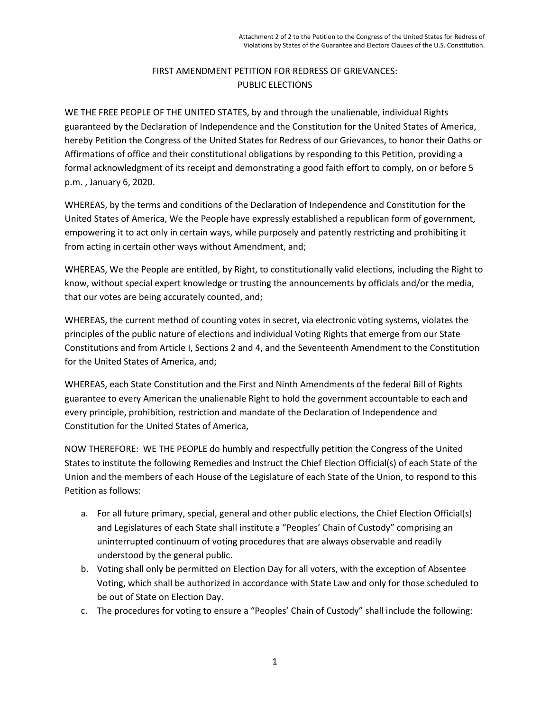# FIRST AMENDMENT PETITION FOR REDRESS OF GRIEVANCES: PUBLIC ELECTIONS

WE THE FREE PEOPLE OF THE UNITED STATES, by and through the unalienable, individual Rights guaranteed by the Declaration of Independence and the Constitution for the United States of America, hereby Petition the Congress of the United States for Redress of our Grievances, to honor their Oaths or Affirmations of office and their constitutional obligations by responding to this Petition, providing a formal acknowledgment of its receipt and demonstrating a good faith effort to comply, on or before 5 p.m. , January 6, 2020.

WHEREAS, by the terms and conditions of the Declaration of Independence and Constitution for the United States of America, We the People have expressly established a republican form of government, empowering it to act only in certain ways, while purposely and patently restricting and prohibiting it from acting in certain other ways without Amendment, and;

WHEREAS, We the People are entitled, by Right, to constitutionally valid elections, including the Right to know, without special expert knowledge or trusting the announcements by officials and/or the media, that our votes are being accurately counted, and;

WHEREAS, the current method of counting votes in secret, via electronic voting systems, violates the principles of the public nature of elections and individual Voting Rights that emerge from our State Constitutions and from Article I, Sections 2 and 4, and the Seventeenth Amendment to the Constitution for the United States of America, and;

WHEREAS, each State Constitution and the First and Ninth Amendments of the federal Bill of Rights guarantee to every American the unalienable Right to hold the government accountable to each and every principle, prohibition, restriction and mandate of the Declaration of Independence and Constitution for the United States of America,

NOW THEREFORE: WE THE PEOPLE do humbly and respectfully petition the Congress of the United States to institute the following Remedies and Instruct the Chief Election Official(s) of each State of the Union and the members of each House of the Legislature of each State of the Union, to respond to this Petition as follows:

- a. For all future primary, special, general and other public elections, the Chief Election Official(s) and Legislatures of each State shall institute a "Peoples' Chain of Custody" comprising an uninterrupted continuum of voting procedures that are always observable and readily understood by the general public.
- b. Voting shall only be permitted on Election Day for all voters, with the exception of Absentee Voting, which shall be authorized in accordance with State Law and only for those scheduled to be out of State on Election Day.
- c. The procedures for voting to ensure a "Peoples' Chain of Custody" shall include the following: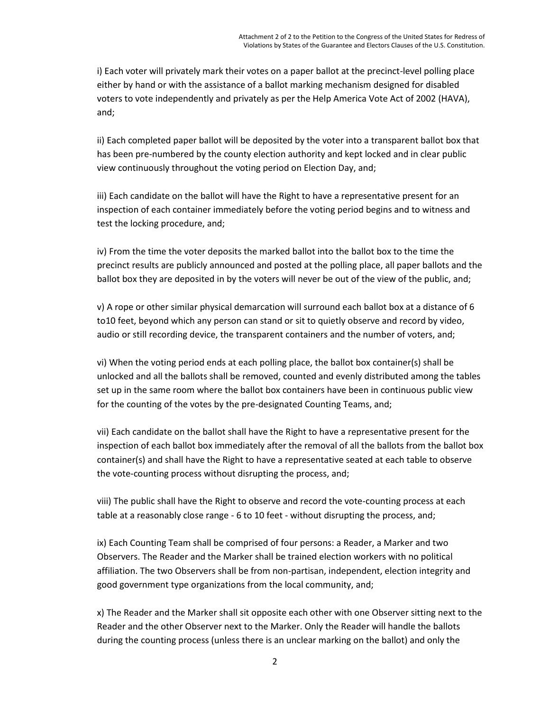i) Each voter will privately mark their votes on a paper ballot at the precinct-level polling place either by hand or with the assistance of a ballot marking mechanism designed for disabled voters to vote independently and privately as per the Help America Vote Act of 2002 (HAVA), and;

ii) Each completed paper ballot will be deposited by the voter into a transparent ballot box that has been pre-numbered by the county election authority and kept locked and in clear public view continuously throughout the voting period on Election Day, and;

iii) Each candidate on the ballot will have the Right to have a representative present for an inspection of each container immediately before the voting period begins and to witness and test the locking procedure, and;

iv) From the time the voter deposits the marked ballot into the ballot box to the time the precinct results are publicly announced and posted at the polling place, all paper ballots and the ballot box they are deposited in by the voters will never be out of the view of the public, and;

v) A rope or other similar physical demarcation will surround each ballot box at a distance of 6 to10 feet, beyond which any person can stand or sit to quietly observe and record by video, audio or still recording device, the transparent containers and the number of voters, and;

vi) When the voting period ends at each polling place, the ballot box container(s) shall be unlocked and all the ballots shall be removed, counted and evenly distributed among the tables set up in the same room where the ballot box containers have been in continuous public view for the counting of the votes by the pre-designated Counting Teams, and;

vii) Each candidate on the ballot shall have the Right to have a representative present for the inspection of each ballot box immediately after the removal of all the ballots from the ballot box container(s) and shall have the Right to have a representative seated at each table to observe the vote-counting process without disrupting the process, and;

viii) The public shall have the Right to observe and record the vote-counting process at each table at a reasonably close range - 6 to 10 feet - without disrupting the process, and;

ix) Each Counting Team shall be comprised of four persons: a Reader, a Marker and two Observers. The Reader and the Marker shall be trained election workers with no political affiliation. The two Observers shall be from non-partisan, independent, election integrity and good government type organizations from the local community, and;

x) The Reader and the Marker shall sit opposite each other with one Observer sitting next to the Reader and the other Observer next to the Marker. Only the Reader will handle the ballots during the counting process (unless there is an unclear marking on the ballot) and only the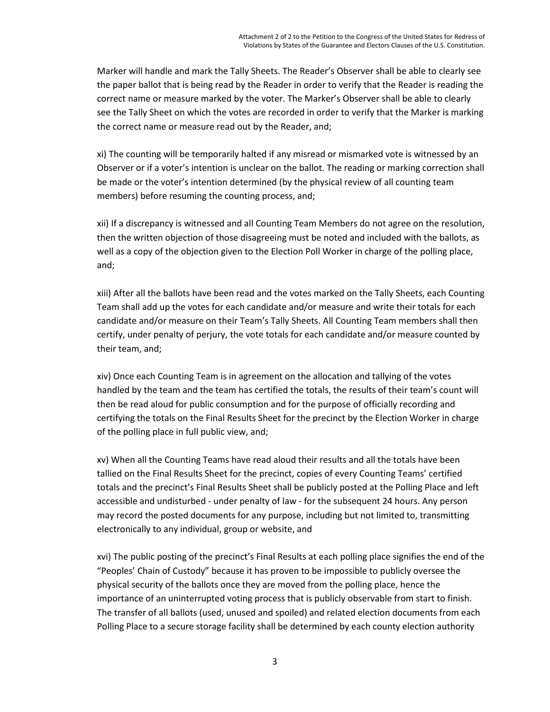Marker will handle and mark the Tally Sheets. The Reader's Observer shall be able to clearly see the paper ballot that is being read by the Reader in order to verify that the Reader is reading the correct name or measure marked by the voter. The Marker's Observer shall be able to clearly see the Tally Sheet on which the votes are recorded in order to verify that the Marker is marking the correct name or measure read out by the Reader, and;

xi) The counting will be temporarily halted if any misread or mismarked vote is witnessed by an Observer or if a voter's intention is unclear on the ballot. The reading or marking correction shall be made or the voter's intention determined (by the physical review of all counting team members) before resuming the counting process, and;

xii) If a discrepancy is witnessed and all Counting Team Members do not agree on the resolution, then the written objection of those disagreeing must be noted and included with the ballots, as well as a copy of the objection given to the Election Poll Worker in charge of the polling place, and;

xiii) After all the ballots have been read and the votes marked on the Tally Sheets, each Counting Team shall add up the votes for each candidate and/or measure and write their totals for each candidate and/or measure on their Team's Tally Sheets. All Counting Team members shall then certify, under penalty of perjury, the vote totals for each candidate and/or measure counted by their team, and;

xiv) Once each Counting Team is in agreement on the allocation and tallying of the votes handled by the team and the team has certified the totals, the results of their team's count will then be read aloud for public consumption and for the purpose of officially recording and certifying the totals on the Final Results Sheet for the precinct by the Election Worker in charge of the polling place in full public view, and;

xv) When all the Counting Teams have read aloud their results and all the totals have been tallied on the Final Results Sheet for the precinct, copies of every Counting Teams' certified totals and the precinct's Final Results Sheet shall be publicly posted at the Polling Place and left accessible and undisturbed - under penalty of law - for the subsequent 24 hours. Any person may record the posted documents for any purpose, including but not limited to, transmitting electronically to any individual, group or website, and

xvi) The public posting of the precinct's Final Results at each polling place signifies the end of the "Peoples' Chain of Custody" because it has proven to be impossible to publicly oversee the physical security of the ballots once they are moved from the polling place, hence the importance of an uninterrupted voting process that is publicly observable from start to finish. The transfer of all ballots (used, unused and spoiled) and related election documents from each Polling Place to a secure storage facility shall be determined by each county election authority